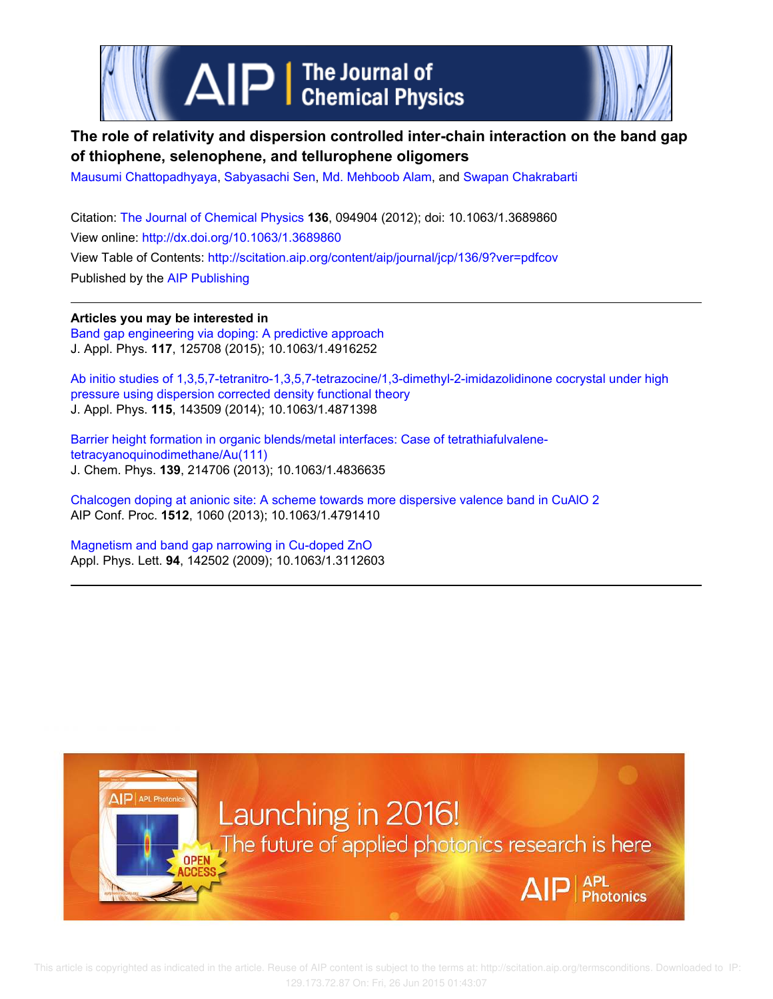

# **The role of relativity and dispersion controlled inter-chain interaction on the band gap of thiophene, selenophene, and tellurophene oligomers**

Mausumi Chattopadhyaya, Sabyasachi Sen, Md. Mehboob Alam, and Swapan Chakrabarti

Citation: The Journal of Chemical Physics **136**, 094904 (2012); doi: 10.1063/1.3689860 View online: http://dx.doi.org/10.1063/1.3689860 View Table of Contents: http://scitation.aip.org/content/aip/journal/jcp/136/9?ver=pdfcov Published by the AIP Publishing

**Articles you may be interested in** Band gap engineering via doping: A predictive approach J. Appl. Phys. **117**, 125708 (2015); 10.1063/1.4916252

Ab initio studies of 1,3,5,7-tetranitro-1,3,5,7-tetrazocine/1,3-dimethyl-2-imidazolidinone cocrystal under high pressure using dispersion corrected density functional theory J. Appl. Phys. **115**, 143509 (2014); 10.1063/1.4871398

Barrier height formation in organic blends/metal interfaces: Case of tetrathiafulvalenetetracyanoquinodimethane/Au(111) J. Chem. Phys. **139**, 214706 (2013); 10.1063/1.4836635

Chalcogen doping at anionic site: A scheme towards more dispersive valence band in CuAlO 2 AIP Conf. Proc. **1512**, 1060 (2013); 10.1063/1.4791410

Magnetism and band gap narrowing in Cu-doped ZnO Appl. Phys. Lett. **94**, 142502 (2009); 10.1063/1.3112603

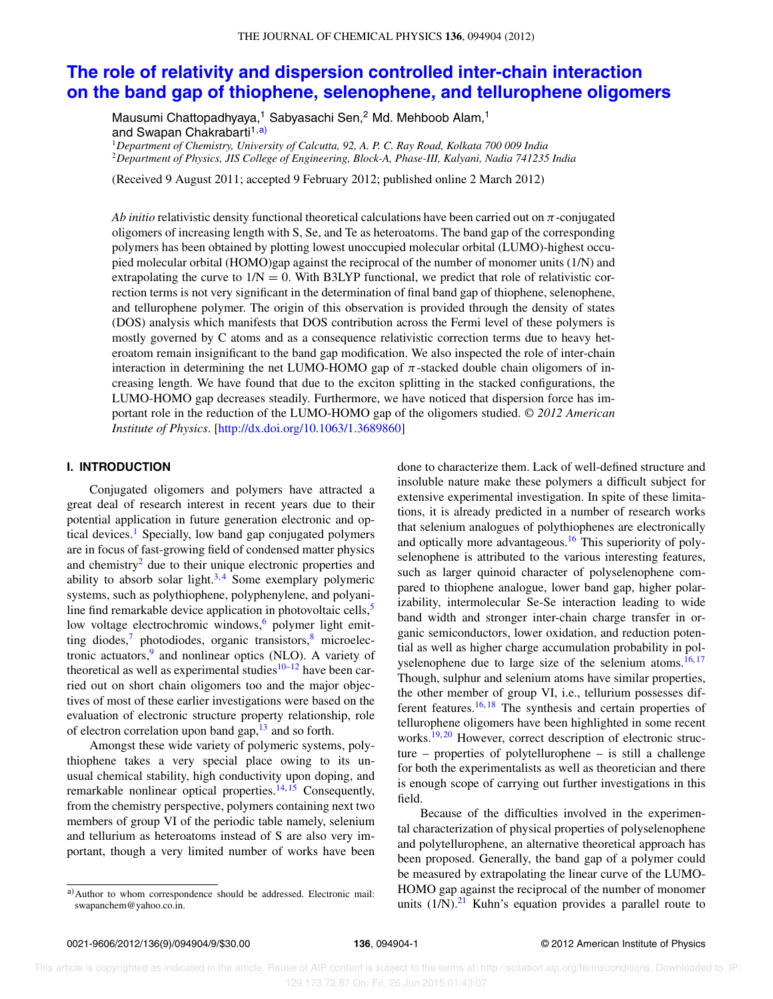# **The role of relativity and dispersion controlled inter-chain interaction on the band gap of thiophene, selenophene, and tellurophene oligomers**

Mausumi Chattopadhyaya,<sup>1</sup> Sabyasachi Sen,<sup>2</sup> Md. Mehboob Alam,<sup>1</sup> and Swapan Chakrabarti<sup>1,a)</sup>

<sup>1</sup>*Department of Chemistry, University of Calcutta, 92, A. P. C. Ray Road, Kolkata 700 009 India*

<sup>2</sup>*Department of Physics, JIS College of Engineering, Block-A, Phase-III, Kalyani, Nadia 741235 India*

(Received 9 August 2011; accepted 9 February 2012; published online 2 March 2012)

*Ab initio* relativistic density functional theoretical calculations have been carried out on π-conjugated oligomers of increasing length with S, Se, and Te as heteroatoms. The band gap of the corresponding polymers has been obtained by plotting lowest unoccupied molecular orbital (LUMO)-highest occupied molecular orbital (HOMO)gap against the reciprocal of the number of monomer units (1/N) and extrapolating the curve to  $1/N = 0$ . With B3LYP functional, we predict that role of relativistic correction terms is not very significant in the determination of final band gap of thiophene, selenophene, and tellurophene polymer. The origin of this observation is provided through the density of states (DOS) analysis which manifests that DOS contribution across the Fermi level of these polymers is mostly governed by C atoms and as a consequence relativistic correction terms due to heavy heteroatom remain insignificant to the band gap modification. We also inspected the role of inter-chain interaction in determining the net LUMO-HOMO gap of  $\pi$ -stacked double chain oligomers of increasing length. We have found that due to the exciton splitting in the stacked configurations, the LUMO-HOMO gap decreases steadily. Furthermore, we have noticed that dispersion force has important role in the reduction of the LUMO-HOMO gap of the oligomers studied. *© 2012 American Institute of Physics*. [http://dx.doi.org/10.1063/1.3689860]

## **I. INTRODUCTION**

Conjugated oligomers and polymers have attracted a great deal of research interest in recent years due to their potential application in future generation electronic and optical devices.<sup>1</sup> Specially, low band gap conjugated polymers are in focus of fast-growing field of condensed matter physics and chemistry<sup>2</sup> due to their unique electronic properties and ability to absorb solar light.<sup>3,4</sup> Some exemplary polymeric systems, such as polythiophene, polyphenylene, and polyaniline find remarkable device application in photovoltaic cells, $\frac{5}{5}$ low voltage electrochromic windows,<sup>6</sup> polymer light emitting diodes, $\frac{7}{7}$  photodiodes, organic transistors, $\frac{8}{7}$  microelectronic actuators,<sup>9</sup> and nonlinear optics (NLO). A variety of theoretical as well as experimental studies $10-12$  have been carried out on short chain oligomers too and the major objectives of most of these earlier investigations were based on the evaluation of electronic structure property relationship, role of electron correlation upon band gap, $13$  and so forth.

Amongst these wide variety of polymeric systems, polythiophene takes a very special place owing to its unusual chemical stability, high conductivity upon doping, and remarkable nonlinear optical properties.<sup>14, 15</sup> Consequently, from the chemistry perspective, polymers containing next two members of group VI of the periodic table namely, selenium and tellurium as heteroatoms instead of S are also very important, though a very limited number of works have been done to characterize them. Lack of well-defined structure and insoluble nature make these polymers a difficult subject for extensive experimental investigation. In spite of these limitations, it is already predicted in a number of research works that selenium analogues of polythiophenes are electronically and optically more advantageous.<sup>16</sup> This superiority of polyselenophene is attributed to the various interesting features, such as larger quinoid character of polyselenophene compared to thiophene analogue, lower band gap, higher polarizability, intermolecular Se-Se interaction leading to wide band width and stronger inter-chain charge transfer in organic semiconductors, lower oxidation, and reduction potential as well as higher charge accumulation probability in polyselenophene due to large size of the selenium atoms.<sup>16, 17</sup> Though, sulphur and selenium atoms have similar properties, the other member of group VI, i.e., tellurium possesses different features.<sup>16, 18</sup> The synthesis and certain properties of tellurophene oligomers have been highlighted in some recent works. $19, 20$  However, correct description of electronic structure – properties of polytellurophene – is still a challenge for both the experimentalists as well as theoretician and there is enough scope of carrying out further investigations in this field.

Because of the difficulties involved in the experimental characterization of physical properties of polyselenophene and polytellurophene, an alternative theoretical approach has been proposed. Generally, the band gap of a polymer could be measured by extrapolating the linear curve of the LUMO-HOMO gap against the reciprocal of the number of monomer units  $(1/N)$ .<sup>21</sup> Kuhn's equation provides a parallel route to

a) Author to whom correspondence should be addressed. Electronic mail: swapanchem@yahoo.co.in.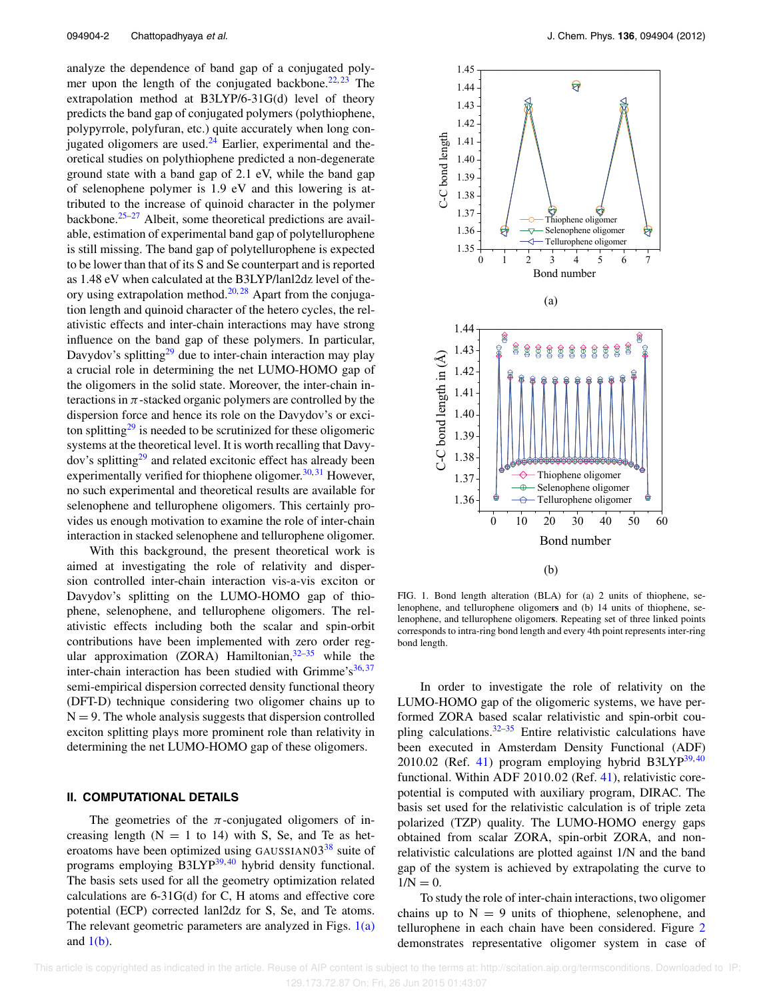analyze the dependence of band gap of a conjugated polymer upon the length of the conjugated backbone.<sup>22, 23</sup> The extrapolation method at B3LYP/6-31G(d) level of theory predicts the band gap of conjugated polymers (polythiophene, polypyrrole, polyfuran, etc.) quite accurately when long conjugated oligomers are used. $24$  Earlier, experimental and theoretical studies on polythiophene predicted a non-degenerate ground state with a band gap of 2.1 eV, while the band gap of selenophene polymer is 1.9 eV and this lowering is attributed to the increase of quinoid character in the polymer backbone. $25-27$  Albeit, some theoretical predictions are available, estimation of experimental band gap of polytellurophene is still missing. The band gap of polytellurophene is expected to be lower than that of its S and Se counterpart and is reported as 1.48 eV when calculated at the B3LYP/lanl2dz level of theory using extrapolation method.<sup>20, 28</sup> Apart from the conjugation length and quinoid character of the hetero cycles, the relativistic effects and inter-chain interactions may have strong influence on the band gap of these polymers. In particular, Davydov's splitting<sup>29</sup> due to inter-chain interaction may play a crucial role in determining the net LUMO-HOMO gap of the oligomers in the solid state. Moreover, the inter-chain interactions in  $\pi$ -stacked organic polymers are controlled by the dispersion force and hence its role on the Davydov's or exciton splitting<sup>29</sup> is needed to be scrutinized for these oligomeric systems at the theoretical level. It is worth recalling that Davydov's splitting<sup>29</sup> and related excitonic effect has already been experimentally verified for thiophene oligomer.<sup>30, 31</sup> However, no such experimental and theoretical results are available for selenophene and tellurophene oligomers. This certainly provides us enough motivation to examine the role of inter-chain interaction in stacked selenophene and tellurophene oligomer.

With this background, the present theoretical work is aimed at investigating the role of relativity and dispersion controlled inter-chain interaction vis-a-vis exciton or Davydov's splitting on the LUMO-HOMO gap of thiophene, selenophene, and tellurophene oligomers. The relativistic effects including both the scalar and spin-orbit contributions have been implemented with zero order regular approximation (ZORA) Hamiltonian,  $32-35$  while the inter-chain interaction has been studied with Grimme's $36,37$ semi-empirical dispersion corrected density functional theory (DFT-D) technique considering two oligomer chains up to  $N = 9$ . The whole analysis suggests that dispersion controlled exciton splitting plays more prominent role than relativity in determining the net LUMO-HOMO gap of these oligomers.

### **II. COMPUTATIONAL DETAILS**

The geometries of the  $\pi$ -conjugated oligomers of increasing length  $(N = 1$  to 14) with S, Se, and Te as heteroatoms have been optimized using GAUSSIAN $03^{38}$  suite of programs employing B3LYP<sup>39, 40</sup> hybrid density functional. The basis sets used for all the geometry optimization related calculations are 6-31G(d) for C, H atoms and effective core potential (ECP) corrected lanl2dz for S, Se, and Te atoms. The relevant geometric parameters are analyzed in Figs.  $1(a)$ and  $1(b)$ .



FIG. 1. Bond length alteration (BLA) for (a) 2 units of thiophene, selenophene, and tellurophene oligomer**s** and (b) 14 units of thiophene, selenophene, and tellurophene oligomer**s**. Repeating set of three linked points corresponds to intra-ring bond length and every 4th point represents inter-ring bond length.

In order to investigate the role of relativity on the LUMO-HOMO gap of the oligomeric systems, we have performed ZORA based scalar relativistic and spin-orbit coupling calculations. $32-35$  Entire relativistic calculations have been executed in Amsterdam Density Functional (ADF) 2010.02 (Ref. 41) program employing hybrid B3LYP $^{39,40}$ functional. Within ADF 2010.02 (Ref. 41), relativistic corepotential is computed with auxiliary program, DIRAC. The basis set used for the relativistic calculation is of triple zeta polarized (TZP) quality. The LUMO-HOMO energy gaps obtained from scalar ZORA, spin-orbit ZORA, and nonrelativistic calculations are plotted against 1/N and the band gap of the system is achieved by extrapolating the curve to  $1/N = 0.$ 

To study the role of inter-chain interactions, two oligomer chains up to  $N = 9$  units of thiophene, selenophene, and tellurophene in each chain have been considered. Figure 2 demonstrates representative oligomer system in case of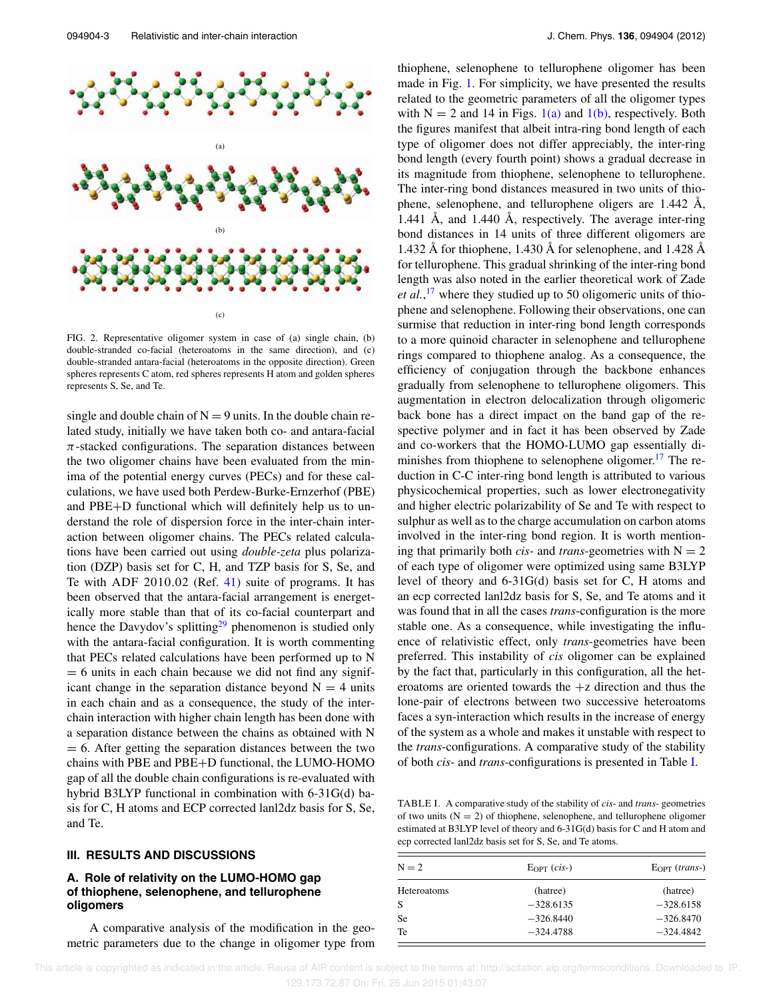

FIG. 2. Representative oligomer system in case of (a) single chain, (b) double-stranded co-facial (heteroatoms in the same direction), and (c) double-stranded antara-facial (heteroatoms in the opposite direction). Green spheres represents C atom, red spheres represents H atom and golden spheres represents S, Se, and Te.

single and double chain of  $N = 9$  units. In the double chain related study, initially we have taken both co- and antara-facial  $\pi$ -stacked configurations. The separation distances between the two oligomer chains have been evaluated from the minima of the potential energy curves (PECs) and for these calculations, we have used both Perdew-Burke-Ernzerhof (PBE) and PBE+D functional which will definitely help us to understand the role of dispersion force in the inter-chain interaction between oligomer chains. The PECs related calculations have been carried out using *double-zeta* plus polarization (DZP) basis set for C, H, and TZP basis for S, Se, and Te with ADF 2010.02 (Ref. 41) suite of programs. It has been observed that the antara-facial arrangement is energetically more stable than that of its co-facial counterpart and hence the Davydov's splitting<sup>29</sup> phenomenon is studied only with the antara-facial configuration. It is worth commenting that PECs related calculations have been performed up to N  $= 6$  units in each chain because we did not find any significant change in the separation distance beyond  $N = 4$  units in each chain and as a consequence, the study of the interchain interaction with higher chain length has been done with a separation distance between the chains as obtained with N  $= 6$ . After getting the separation distances between the two chains with PBE and PBE+D functional, the LUMO-HOMO gap of all the double chain configurations is re-evaluated with hybrid B3LYP functional in combination with 6-31G(d) basis for C, H atoms and ECP corrected lanl2dz basis for S, Se, and Te.

#### **III. RESULTS AND DISCUSSIONS**

## **A. Role of relativity on the LUMO-HOMO gap of thiophene, selenophene, and tellurophene oligomers**

A comparative analysis of the modification in the geometric parameters due to the change in oligomer type from thiophene, selenophene to tellurophene oligomer has been made in Fig. 1. For simplicity, we have presented the results related to the geometric parameters of all the oligomer types with  $N = 2$  and 14 in Figs. 1(a) and 1(b), respectively. Both the figures manifest that albeit intra-ring bond length of each type of oligomer does not differ appreciably, the inter-ring bond length (every fourth point) shows a gradual decrease in its magnitude from thiophene, selenophene to tellurophene. The inter-ring bond distances measured in two units of thiophene, selenophene, and tellurophene oligers are 1.442 Å, 1.441 Å, and 1.440 Å, respectively. The average inter-ring bond distances in 14 units of three different oligomers are 1.432 Å for thiophene, 1.430 Å for selenophene, and 1.428 Å for tellurophene. This gradual shrinking of the inter-ring bond length was also noted in the earlier theoretical work of Zade *et al.*, <sup>17</sup> where they studied up to 50 oligomeric units of thiophene and selenophene. Following their observations, one can surmise that reduction in inter-ring bond length corresponds to a more quinoid character in selenophene and tellurophene rings compared to thiophene analog. As a consequence, the efficiency of conjugation through the backbone enhances gradually from selenophene to tellurophene oligomers. This augmentation in electron delocalization through oligomeric back bone has a direct impact on the band gap of the respective polymer and in fact it has been observed by Zade and co-workers that the HOMO-LUMO gap essentially diminishes from thiophene to selenophene oligomer.<sup>17</sup> The reduction in C-C inter-ring bond length is attributed to various physicochemical properties, such as lower electronegativity and higher electric polarizability of Se and Te with respect to sulphur as well as to the charge accumulation on carbon atoms involved in the inter-ring bond region. It is worth mentioning that primarily both *cis*- and *trans*-geometries with  $N = 2$ of each type of oligomer were optimized using same B3LYP level of theory and 6-31G(d) basis set for C, H atoms and an ecp corrected lanl2dz basis for S, Se, and Te atoms and it was found that in all the cases *trans*-configuration is the more stable one. As a consequence, while investigating the influence of relativistic effect, only *trans*-geometries have been preferred. This instability of *cis* oligomer can be explained by the fact that, particularly in this configuration, all the heteroatoms are oriented towards the  $+z$  direction and thus the lone-pair of electrons between two successive heteroatoms faces a syn-interaction which results in the increase of energy of the system as a whole and makes it unstable with respect to the *trans*-configurations. A comparative study of the stability of both *cis*- and *trans*-configurations is presented in Table I.

TABLE I. A comparative study of the stability of *cis*- and *trans*- geometries of two units  $(N = 2)$  of thiophene, selenophene, and tellurophene oligomer estimated at B3LYP level of theory and 6-31G(d) basis for C and H atom and ecp corrected lanl2dz basis set for S, Se, and Te atoms.

| $N = 2$     | $E_{\text{OPT}}$ ( <i>cis</i> -) | $E_{\text{OPT}}$ ( <i>trans-</i> ) |  |
|-------------|----------------------------------|------------------------------------|--|
| Heteroatoms | (hatree)                         | (hatree)                           |  |
| S           | $-328.6135$                      | $-328.6158$                        |  |
| Se          | $-326.8440$                      | $-326.8470$                        |  |
| Te          | $-324.4788$                      | $-324.4842$                        |  |

 This article is copyrighted as indicated in the article. Reuse of AIP content is subject to the terms at: http://scitation.aip.org/termsconditions. Downloaded to IP: 129.173.72.87 On: Fri, 26 Jun 2015 01:43:07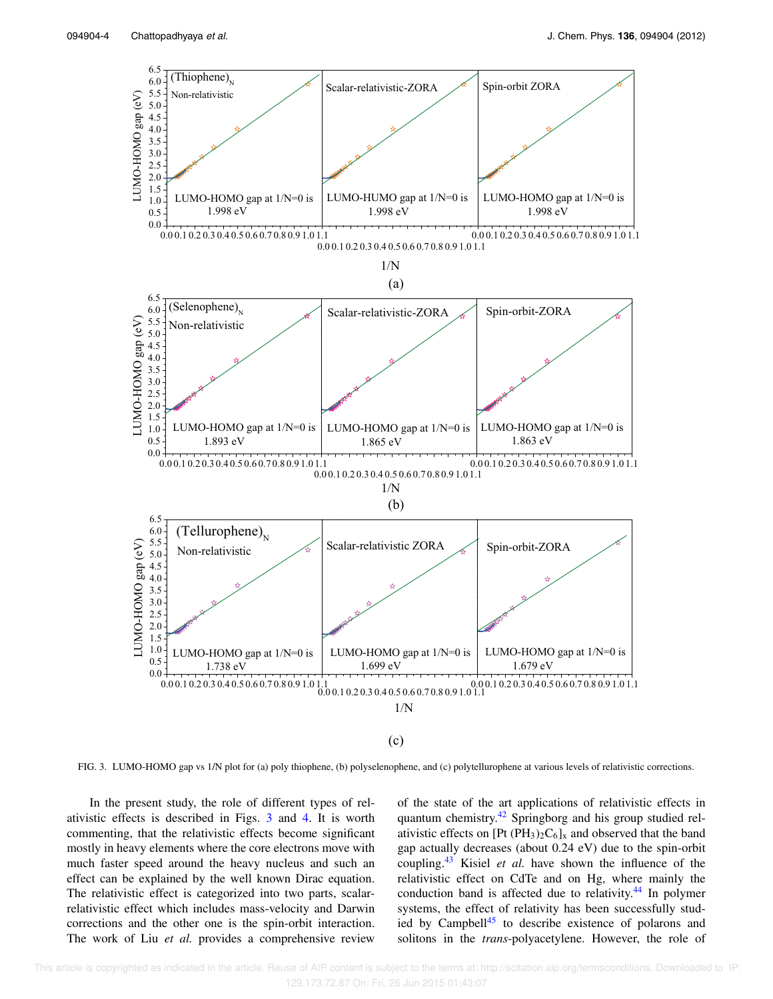

FIG. 3. LUMO-HOMO gap vs 1/N plot for (a) poly thiophene, (b) polyselenophene, and (c) polytellurophene at various levels of relativistic corrections.

In the present study, the role of different types of relativistic effects is described in Figs. 3 and 4. It is worth commenting, that the relativistic effects become significant mostly in heavy elements where the core electrons move with much faster speed around the heavy nucleus and such an effect can be explained by the well known Dirac equation. The relativistic effect is categorized into two parts, scalarrelativistic effect which includes mass-velocity and Darwin corrections and the other one is the spin-orbit interaction. The work of Liu *et al.* provides a comprehensive review of the state of the art applications of relativistic effects in quantum chemistry.<sup>42</sup> Springborg and his group studied relativistic effects on [Pt (PH<sub>3</sub>)<sub>2</sub>C<sub>6</sub>]<sub>x</sub> and observed that the band gap actually decreases (about 0.24 eV) due to the spin-orbit coupling.<sup>43</sup> Kisiel *et al.* have shown the influence of the relativistic effect on CdTe and on Hg, where mainly the conduction band is affected due to relativity.<sup>44</sup> In polymer systems, the effect of relativity has been successfully studied by Campbell<sup>45</sup> to describe existence of polarons and solitons in the *trans*-polyacetylene. However, the role of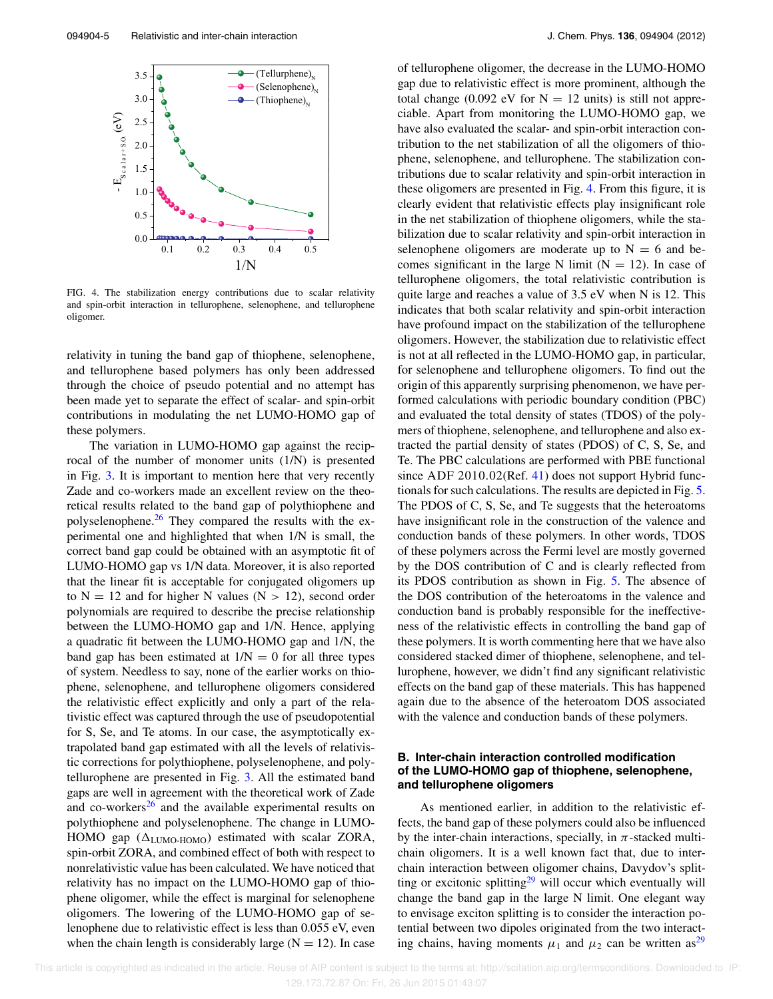

FIG. 4. The stabilization energy contributions due to scalar relativity and spin-orbit interaction in tellurophene, selenophene, and tellurophene oligomer.

relativity in tuning the band gap of thiophene, selenophene, and tellurophene based polymers has only been addressed through the choice of pseudo potential and no attempt has been made yet to separate the effect of scalar- and spin-orbit contributions in modulating the net LUMO-HOMO gap of these polymers.

The variation in LUMO-HOMO gap against the reciprocal of the number of monomer units (1/N) is presented in Fig. 3. It is important to mention here that very recently Zade and co-workers made an excellent review on the theoretical results related to the band gap of polythiophene and polyselenophene. $26$  They compared the results with the experimental one and highlighted that when 1/N is small, the correct band gap could be obtained with an asymptotic fit of LUMO-HOMO gap vs 1/N data. Moreover, it is also reported that the linear fit is acceptable for conjugated oligomers up to  $N = 12$  and for higher N values ( $N > 12$ ), second order polynomials are required to describe the precise relationship between the LUMO-HOMO gap and 1/N. Hence, applying a quadratic fit between the LUMO-HOMO gap and 1/N, the band gap has been estimated at  $1/N = 0$  for all three types of system. Needless to say, none of the earlier works on thiophene, selenophene, and tellurophene oligomers considered the relativistic effect explicitly and only a part of the relativistic effect was captured through the use of pseudopotential for S, Se, and Te atoms. In our case, the asymptotically extrapolated band gap estimated with all the levels of relativistic corrections for polythiophene, polyselenophene, and polytellurophene are presented in Fig. 3. All the estimated band gaps are well in agreement with the theoretical work of Zade and co-workers $26$  and the available experimental results on polythiophene and polyselenophene. The change in LUMO-HOMO gap  $(\Delta_{LUMO-HOMO})$  estimated with scalar ZORA, spin-orbit ZORA, and combined effect of both with respect to nonrelativistic value has been calculated. We have noticed that relativity has no impact on the LUMO-HOMO gap of thiophene oligomer, while the effect is marginal for selenophene oligomers. The lowering of the LUMO-HOMO gap of selenophene due to relativistic effect is less than 0.055 eV, even when the chain length is considerably large  $(N = 12)$ . In case of tellurophene oligomer, the decrease in the LUMO-HOMO gap due to relativistic effect is more prominent, although the total change (0.092 eV for  $N = 12$  units) is still not appreciable. Apart from monitoring the LUMO-HOMO gap, we have also evaluated the scalar- and spin-orbit interaction contribution to the net stabilization of all the oligomers of thiophene, selenophene, and tellurophene. The stabilization contributions due to scalar relativity and spin-orbit interaction in these oligomers are presented in Fig. 4. From this figure, it is clearly evident that relativistic effects play insignificant role in the net stabilization of thiophene oligomers, while the stabilization due to scalar relativity and spin-orbit interaction in selenophene oligomers are moderate up to  $N = 6$  and becomes significant in the large N limit ( $N = 12$ ). In case of tellurophene oligomers, the total relativistic contribution is quite large and reaches a value of 3.5 eV when N is 12. This indicates that both scalar relativity and spin-orbit interaction have profound impact on the stabilization of the tellurophene oligomers. However, the stabilization due to relativistic effect is not at all reflected in the LUMO-HOMO gap, in particular, for selenophene and tellurophene oligomers. To find out the origin of this apparently surprising phenomenon, we have performed calculations with periodic boundary condition (PBC) and evaluated the total density of states (TDOS) of the polymers of thiophene, selenophene, and tellurophene and also extracted the partial density of states (PDOS) of C, S, Se, and Te. The PBC calculations are performed with PBE functional since ADF 2010.02(Ref. 41) does not support Hybrid functionals for such calculations. The results are depicted in Fig. 5. The PDOS of C, S, Se, and Te suggests that the heteroatoms have insignificant role in the construction of the valence and conduction bands of these polymers. In other words, TDOS of these polymers across the Fermi level are mostly governed by the DOS contribution of C and is clearly reflected from its PDOS contribution as shown in Fig. 5. The absence of the DOS contribution of the heteroatoms in the valence and conduction band is probably responsible for the ineffectiveness of the relativistic effects in controlling the band gap of these polymers. It is worth commenting here that we have also considered stacked dimer of thiophene, selenophene, and tellurophene, however, we didn't find any significant relativistic effects on the band gap of these materials. This has happened again due to the absence of the heteroatom DOS associated with the valence and conduction bands of these polymers.

### **B. Inter-chain interaction controlled modification of the LUMO-HOMO gap of thiophene, selenophene, and tellurophene oligomers**

As mentioned earlier, in addition to the relativistic effects, the band gap of these polymers could also be influenced by the inter-chain interactions, specially, in  $\pi$ -stacked multichain oligomers. It is a well known fact that, due to interchain interaction between oligomer chains, Davydov's splitting or excitonic splitting $29$  will occur which eventually will change the band gap in the large N limit. One elegant way to envisage exciton splitting is to consider the interaction potential between two dipoles originated from the two interacting chains, having moments  $\mu_1$  and  $\mu_2$  can be written as<sup>29</sup>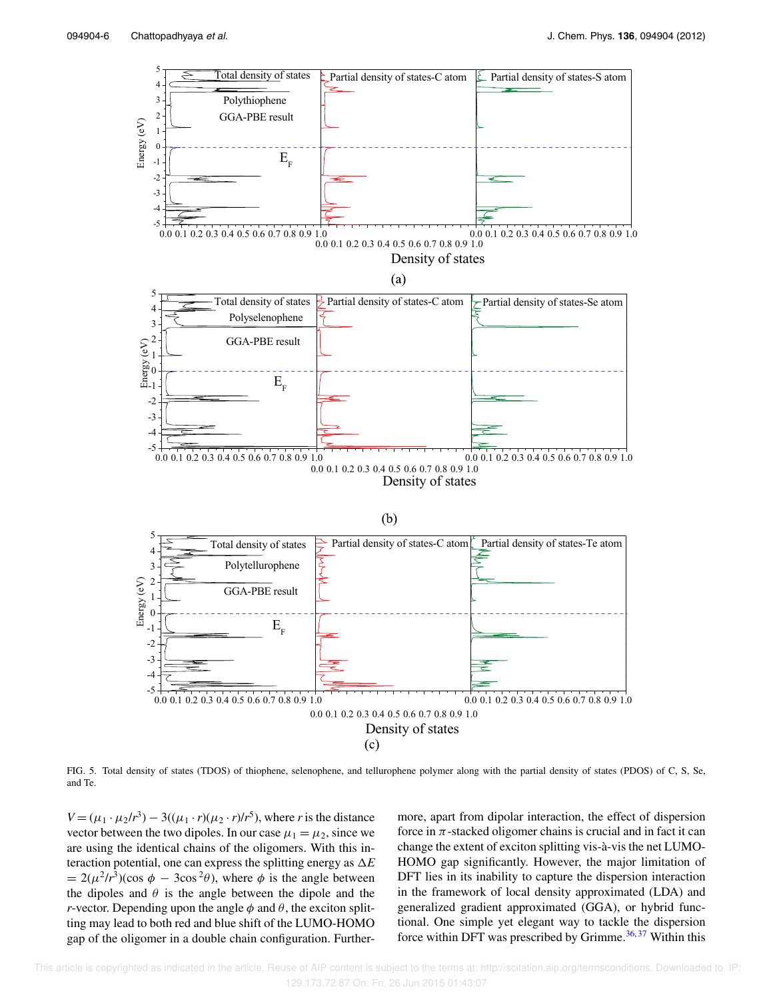

FIG. 5. Total density of states (TDOS) of thiophene, selenophene, and tellurophene polymer along with the partial density of states (PDOS) of C, S, Se, and Te.

 $V = (\mu_1 \cdot \mu_2/r^3) - 3((\mu_1 \cdot r)(\mu_2 \cdot r)/r^5)$ , where *r* is the distance vector between the two dipoles. In our case  $\mu_1 = \mu_2$ , since we are using the identical chains of the oligomers. With this interaction potential, one can express the splitting energy as  $\Delta E$  $= 2(\mu^2/r^3)(\cos \phi - 3\cos^2 \theta)$ , where  $\phi$  is the angle between the dipoles and  $\theta$  is the angle between the dipole and the *r*-vector. Depending upon the angle  $\phi$  and  $\theta$ , the exciton splitting may lead to both red and blue shift of the LUMO-HOMO gap of the oligomer in a double chain configuration. Furthermore, apart from dipolar interaction, the effect of dispersion force in  $\pi$ -stacked oligomer chains is crucial and in fact it can change the extent of exciton splitting vis-à-vis the net LUMO-HOMO gap significantly. However, the major limitation of DFT lies in its inability to capture the dispersion interaction in the framework of local density approximated (LDA) and generalized gradient approximated (GGA), or hybrid functional. One simple yet elegant way to tackle the dispersion force within DFT was prescribed by Grimme. $36,37$  Within this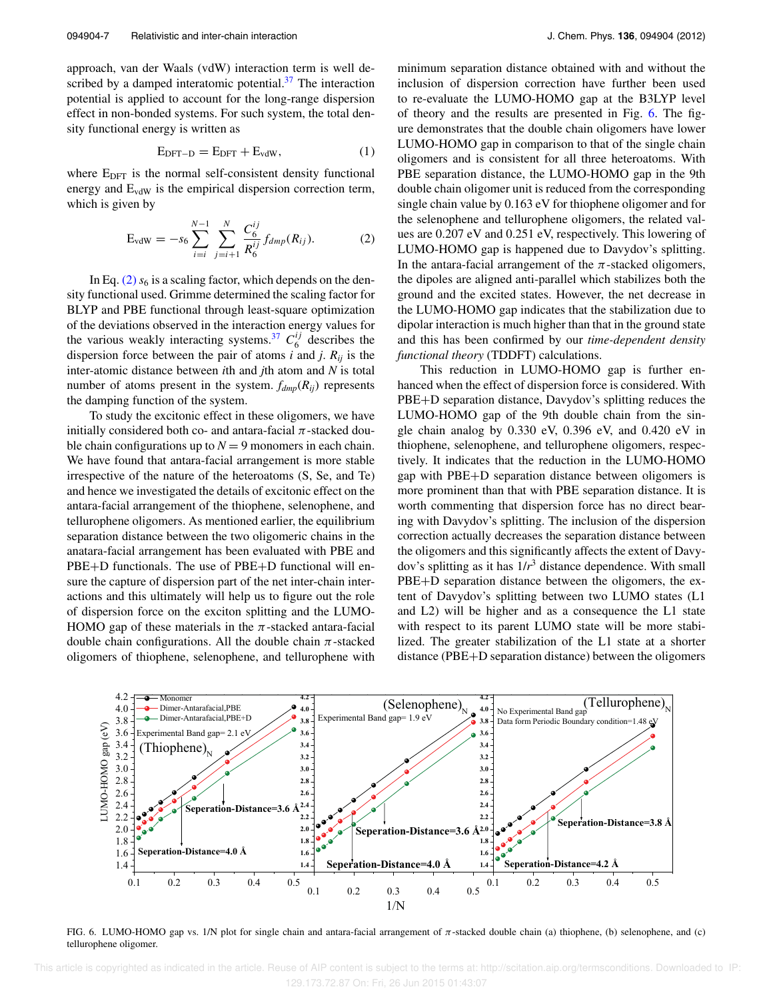approach, van der Waals (vdW) interaction term is well described by a damped interatomic potential. $37$  The interaction potential is applied to account for the long-range dispersion effect in non-bonded systems. For such system, the total density functional energy is written as

$$
E_{DFT-D} = E_{DFT} + E_{vdW}, \qquad (1)
$$

where  $E_{\text{DFT}}$  is the normal self-consistent density functional energy and  $E_{vdW}$  is the empirical dispersion correction term, which is given by

$$
E_{vdW} = -s_6 \sum_{i=i}^{N-1} \sum_{j=i+1}^{N} \frac{C_6^{ij}}{R_6^{ij}} f_{dmp}(R_{ij}).
$$
 (2)

In Eq.  $(2)$   $s<sub>6</sub>$  is a scaling factor, which depends on the density functional used. Grimme determined the scaling factor for BLYP and PBE functional through least-square optimization of the deviations observed in the interaction energy values for the various weakly interacting systems.<sup>37</sup>  $C_6^{ij}$  describes the dispersion force between the pair of atoms  $i$  and  $j$ .  $R_{ij}$  is the inter-atomic distance between *i*th and *j*th atom and *N* is total number of atoms present in the system.  $f_{dmp}(R_{ij})$  represents the damping function of the system.

To study the excitonic effect in these oligomers, we have initially considered both co- and antara-facial  $\pi$ -stacked double chain configurations up to  $N = 9$  monomers in each chain. We have found that antara-facial arrangement is more stable irrespective of the nature of the heteroatoms (S, Se, and Te) and hence we investigated the details of excitonic effect on the antara-facial arrangement of the thiophene, selenophene, and tellurophene oligomers. As mentioned earlier, the equilibrium separation distance between the two oligomeric chains in the anatara-facial arrangement has been evaluated with PBE and PBE+D functionals. The use of PBE+D functional will ensure the capture of dispersion part of the net inter-chain interactions and this ultimately will help us to figure out the role of dispersion force on the exciton splitting and the LUMO-HOMO gap of these materials in the  $\pi$ -stacked antara-facial double chain configurations. All the double chain  $\pi$ -stacked oligomers of thiophene, selenophene, and tellurophene with minimum separation distance obtained with and without the inclusion of dispersion correction have further been used to re-evaluate the LUMO-HOMO gap at the B3LYP level of theory and the results are presented in Fig. 6. The figure demonstrates that the double chain oligomers have lower LUMO-HOMO gap in comparison to that of the single chain oligomers and is consistent for all three heteroatoms. With PBE separation distance, the LUMO-HOMO gap in the 9th double chain oligomer unit is reduced from the corresponding single chain value by 0.163 eV for thiophene oligomer and for the selenophene and tellurophene oligomers, the related values are 0.207 eV and 0.251 eV, respectively. This lowering of LUMO-HOMO gap is happened due to Davydov's splitting. In the antara-facial arrangement of the  $\pi$ -stacked oligomers, the dipoles are aligned anti-parallel which stabilizes both the ground and the excited states. However, the net decrease in the LUMO-HOMO gap indicates that the stabilization due to dipolar interaction is much higher than that in the ground state and this has been confirmed by our *time-dependent density functional theory* (TDDFT) calculations.

This reduction in LUMO-HOMO gap is further enhanced when the effect of dispersion force is considered. With PBE+D separation distance, Davydov's splitting reduces the LUMO-HOMO gap of the 9th double chain from the single chain analog by 0.330 eV, 0.396 eV, and 0.420 eV in thiophene, selenophene, and tellurophene oligomers, respectively. It indicates that the reduction in the LUMO-HOMO gap with PBE+D separation distance between oligomers is more prominent than that with PBE separation distance. It is worth commenting that dispersion force has no direct bearing with Davydov's splitting. The inclusion of the dispersion correction actually decreases the separation distance between the oligomers and this significantly affects the extent of Davydov's splitting as it has 1/*r* <sup>3</sup> distance dependence. With small PBE+D separation distance between the oligomers, the extent of Davydov's splitting between two LUMO states (L1 and L2) will be higher and as a consequence the L1 state with respect to its parent LUMO state will be more stabilized. The greater stabilization of the L1 state at a shorter distance (PBE+D separation distance) between the oligomers



FIG. 6. LUMO-HOMO gap vs. 1/N plot for single chain and antara-facial arrangement of  $\pi$ -stacked double chain (a) thiophene, (b) selenophene, and (c) tellurophene oligomer.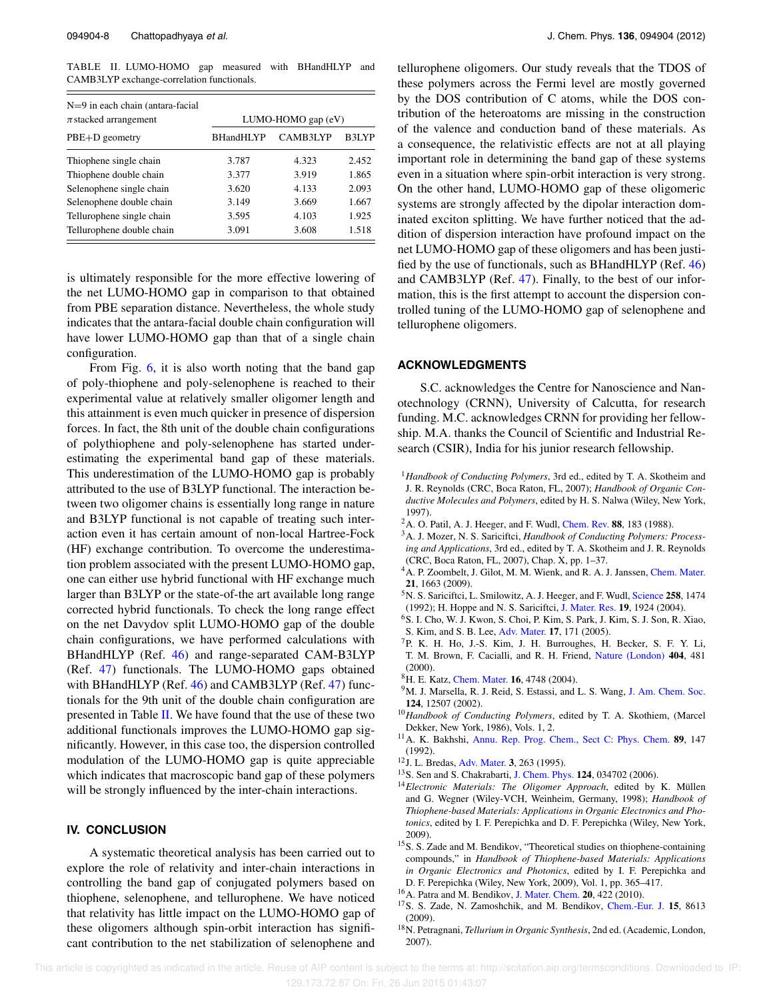TABLE II. LUMO-HOMO gap measured with BHandHLYP and CAMB3LYP exchange-correlation functionals.

| $N=9$ in each chain (antara-facial<br>$\pi$ stacked arrangement | LUMO-HOMO gap (eV) |          |       |
|-----------------------------------------------------------------|--------------------|----------|-------|
| PBE+D geometry                                                  | <b>BHandHLYP</b>   | CAMB3LYP | B3LYP |
| Thiophene single chain                                          | 3.787              | 4.323    | 2.452 |
| Thiophene double chain                                          | 3.377              | 3.919    | 1.865 |
| Selenophene single chain                                        | 3.620              | 4.133    | 2.093 |
| Selenophene double chain                                        | 3.149              | 3.669    | 1.667 |
| Tellurophene single chain                                       | 3.595              | 4.103    | 1.925 |
| Tellurophene double chain                                       | 3.091              | 3.608    | 1.518 |

is ultimately responsible for the more effective lowering of the net LUMO-HOMO gap in comparison to that obtained from PBE separation distance. Nevertheless, the whole study indicates that the antara-facial double chain configuration will have lower LUMO-HOMO gap than that of a single chain configuration.

From Fig. 6, it is also worth noting that the band gap of poly-thiophene and poly-selenophene is reached to their experimental value at relatively smaller oligomer length and this attainment is even much quicker in presence of dispersion forces. In fact, the 8th unit of the double chain configurations of polythiophene and poly-selenophene has started underestimating the experimental band gap of these materials. This underestimation of the LUMO-HOMO gap is probably attributed to the use of B3LYP functional. The interaction between two oligomer chains is essentially long range in nature and B3LYP functional is not capable of treating such interaction even it has certain amount of non-local Hartree-Fock (HF) exchange contribution. To overcome the underestimation problem associated with the present LUMO-HOMO gap, one can either use hybrid functional with HF exchange much larger than B3LYP or the state-of-the art available long range corrected hybrid functionals. To check the long range effect on the net Davydov split LUMO-HOMO gap of the double chain configurations, we have performed calculations with BHandHLYP (Ref. 46) and range-separated CAM-B3LYP (Ref. 47) functionals. The LUMO-HOMO gaps obtained with BHandHLYP (Ref. 46) and CAMB3LYP (Ref. 47) functionals for the 9th unit of the double chain configuration are presented in Table  $II$ . We have found that the use of these two additional functionals improves the LUMO-HOMO gap significantly. However, in this case too, the dispersion controlled modulation of the LUMO-HOMO gap is quite appreciable which indicates that macroscopic band gap of these polymers will be strongly influenced by the inter-chain interactions.

#### **IV. CONCLUSION**

A systematic theoretical analysis has been carried out to explore the role of relativity and inter-chain interactions in controlling the band gap of conjugated polymers based on thiophene, selenophene, and tellurophene. We have noticed that relativity has little impact on the LUMO-HOMO gap of these oligomers although spin-orbit interaction has significant contribution to the net stabilization of selenophene and tellurophene oligomers. Our study reveals that the TDOS of these polymers across the Fermi level are mostly governed by the DOS contribution of C atoms, while the DOS contribution of the heteroatoms are missing in the construction of the valence and conduction band of these materials. As a consequence, the relativistic effects are not at all playing important role in determining the band gap of these systems even in a situation where spin-orbit interaction is very strong. On the other hand, LUMO-HOMO gap of these oligomeric systems are strongly affected by the dipolar interaction dominated exciton splitting. We have further noticed that the addition of dispersion interaction have profound impact on the net LUMO-HOMO gap of these oligomers and has been justified by the use of functionals, such as BHandHLYP (Ref. 46) and CAMB3LYP (Ref. 47). Finally, to the best of our information, this is the first attempt to account the dispersion controlled tuning of the LUMO-HOMO gap of selenophene and tellurophene oligomers.

#### **ACKNOWLEDGMENTS**

S.C. acknowledges the Centre for Nanoscience and Nanotechnology (CRNN), University of Calcutta, for research funding. M.C. acknowledges CRNN for providing her fellowship. M.A. thanks the Council of Scientific and Industrial Research (CSIR), India for his junior research fellowship.

- <sup>1</sup>*Handbook of Conducting Polymers*, 3rd ed., edited by T. A. Skotheim and J. R. Reynolds (CRC, Boca Raton, FL, 2007); *Handbook of Organic Conductive Molecules and Polymers*, edited by H. S. Nalwa (Wiley, New York, 1997).
- <sup>2</sup>A. O. Patil, A. J. Heeger, and F. Wudl, Chem. Rev. **88**, 183 (1988).
- <sup>3</sup>A. J. Mozer, N. S. Sariciftci, *Handbook of Conducting Polymers: Processing and Applications*, 3rd ed., edited by T. A. Skotheim and J. R. Reynolds (CRC, Boca Raton, FL, 2007), Chap. X, pp. 1–37.
- <sup>4</sup>A. P. Zoombelt, J. Gilot, M. M. Wienk, and R. A. J. Janssen, Chem. Mater. **21**, 1663 (2009).
- <sup>5</sup>N. S. Sariciftci, L. Smilowitz, A. J. Heeger, and F. Wudl, Science **258**, 1474 (1992); H. Hoppe and N. S. Sariciftci, J. Mater. Res. **19**, 1924 (2004).
- <sup>6</sup>S. I. Cho, W. J. Kwon, S. Choi, P. Kim, S. Park, J. Kim, S. J. Son, R. Xiao,
- S. Kim, and S. B. Lee, Adv. Mater. **17**, 171 (2005). <sup>7</sup>P. K. H. Ho, J.-S. Kim, J. H. Burroughes, H. Becker, S. F. Y. Li,
- T. M. Brown, F. Cacialli, and R. H. Friend, Nature (London) **404**, 481 (2000).
- <sup>8</sup>H. E. Katz, Chem. Mater. **16**, 4748 (2004).
- <sup>9</sup>M. J. Marsella, R. J. Reid, S. Estassi, and L. S. Wang, J. Am. Chem. Soc. **124**, 12507 (2002).
- <sup>10</sup>*Handbook of Conducting Polymers*, edited by T. A. Skothiem, (Marcel Dekker, New York, 1986), Vols. 1, 2.
- <sup>11</sup>A. K. Bakhshi, Annu. Rep. Prog. Chem., Sect C: Phys. Chem. **89**, 147 (1992).
- <sup>12</sup>J. L. Bredas, Adv. Mater. **3**, 263 (1995).
- <sup>13</sup>S. Sen and S. Chakrabarti, J. Chem. Phys. **124**, 034702 (2006).
- <sup>14</sup>*Electronic Materials: The Oligomer Approach*, edited by K. Müllen and G. Wegner (Wiley-VCH, Weinheim, Germany, 1998); *Handbook of Thiophene-based Materials: Applications in Organic Electronics and Photonics*, edited by I. F. Perepichka and D. F. Perepichka (Wiley, New York, 2009).
- <sup>15</sup>S. S. Zade and M. Bendikov, "Theoretical studies on thiophene-containing compounds," in *Handbook of Thiophene-based Materials: Applications in Organic Electronics and Photonics*, edited by I. F. Perepichka and D. F. Perepichka (Wiley, New York, 2009), Vol. 1, pp. 365–417.
- <sup>16</sup>A. Patra and M. Bendikov, J. Mater. Chem. **20**, 422 (2010).
- <sup>17</sup>S. S. Zade, N. Zamoshchik, and M. Bendikov, Chem.-Eur. J. **15**, 8613 (2009).
- <sup>18</sup>N. Petragnani, *Tellurium in Organic Synthesis*, 2nd ed. (Academic, London, 2007).